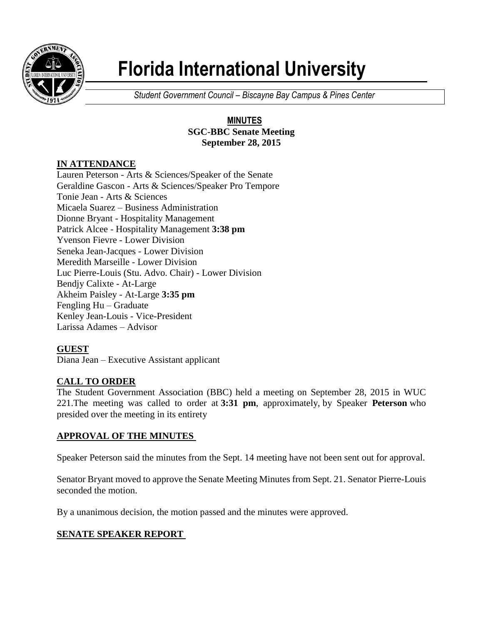

# **Florida International University**

*Student Government Council – Biscayne Bay Campus & Pines Center*

#### **MINUTES SGC-BBC Senate Meeting September 28, 2015**

## **IN ATTENDANCE**

Lauren Peterson - Arts & Sciences/Speaker of the Senate Geraldine Gascon - Arts & Sciences/Speaker Pro Tempore Tonie Jean - Arts & Sciences Micaela Suarez – Business Administration Dionne Bryant - Hospitality Management Patrick Alcee - Hospitality Management **3:38 pm** Yvenson Fievre - Lower Division Seneka Jean-Jacques - Lower Division Meredith Marseille - Lower Division Luc Pierre-Louis (Stu. Advo. Chair) - Lower Division Bendjy Calixte - At-Large Akheim Paisley - At-Large **3:35 pm** Fengling Hu – Graduate Kenley Jean-Louis - Vice-President Larissa Adames – Advisor

## **GUEST**

Diana Jean – Executive Assistant applicant

## **CALL TO ORDER**

The Student Government Association (BBC) held a meeting on September 28, 2015 in WUC 221.The meeting was called to order at **3:31 pm**, approximately, by Speaker **Peterson** who presided over the meeting in its entirety

## **APPROVAL OF THE MINUTES**

Speaker Peterson said the minutes from the Sept. 14 meeting have not been sent out for approval.

Senator Bryant moved to approve the Senate Meeting Minutes from Sept. 21. Senator Pierre-Louis seconded the motion.

By a unanimous decision, the motion passed and the minutes were approved.

#### **SENATE SPEAKER REPORT**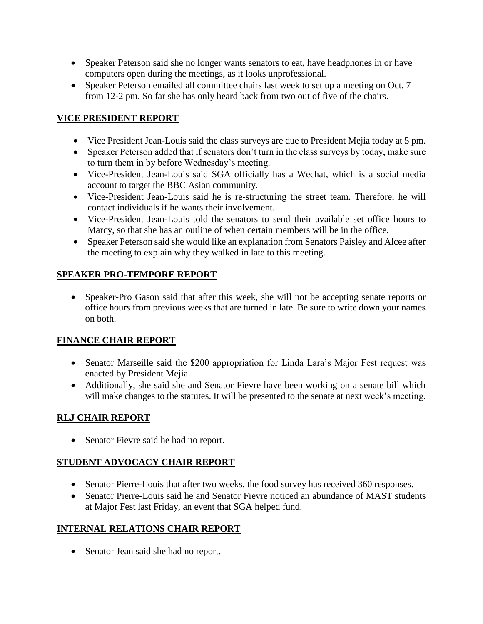- Speaker Peterson said she no longer wants senators to eat, have headphones in or have computers open during the meetings, as it looks unprofessional.
- Speaker Peterson emailed all committee chairs last week to set up a meeting on Oct. 7 from 12-2 pm. So far she has only heard back from two out of five of the chairs.

### **VICE PRESIDENT REPORT**

- Vice President Jean-Louis said the class surveys are due to President Mejia today at 5 pm.
- Speaker Peterson added that if senators don't turn in the class surveys by today, make sure to turn them in by before Wednesday's meeting.
- Vice-President Jean-Louis said SGA officially has a Wechat, which is a social media account to target the BBC Asian community.
- Vice-President Jean-Louis said he is re-structuring the street team. Therefore, he will contact individuals if he wants their involvement.
- Vice-President Jean-Louis told the senators to send their available set office hours to Marcy, so that she has an outline of when certain members will be in the office.
- Speaker Peterson said she would like an explanation from Senators Paisley and Alcee after the meeting to explain why they walked in late to this meeting.

#### **SPEAKER PRO-TEMPORE REPORT**

• Speaker-Pro Gason said that after this week, she will not be accepting senate reports or office hours from previous weeks that are turned in late. Be sure to write down your names on both.

## **FINANCE CHAIR REPORT**

- Senator Marseille said the \$200 appropriation for Linda Lara's Major Fest request was enacted by President Mejia.
- Additionally, she said she and Senator Fievre have been working on a senate bill which will make changes to the statutes. It will be presented to the senate at next week's meeting.

## **RLJ CHAIR REPORT**

• Senator Fievre said he had no report.

## **STUDENT ADVOCACY CHAIR REPORT**

- Senator Pierre-Louis that after two weeks, the food survey has received 360 responses.
- Senator Pierre-Louis said he and Senator Fievre noticed an abundance of MAST students at Major Fest last Friday, an event that SGA helped fund.

## **INTERNAL RELATIONS CHAIR REPORT**

• Senator Jean said she had no report.